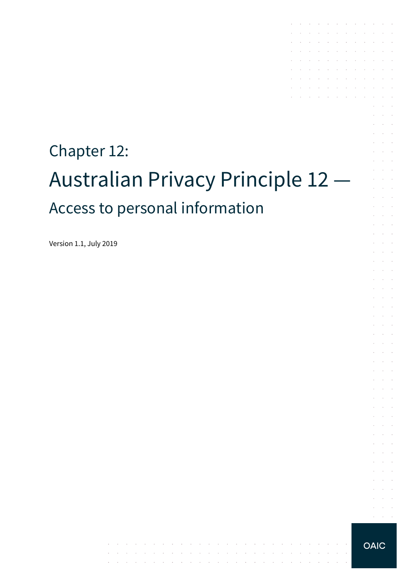# Chapter 12: Australian Privacy Principle 12 — Access to personal information

the control of the control of

and the control

والمتواطن والمتعارف والمتعارف والمتعارف والمتعارف والمتعارف والمتعارف والمتعارف

Version 1.1, July 2019

**OAIC** 

 $\alpha = 1, \ldots, n$ 

the contract of the contract of the contract of

and a series of the contract of the contract of  $\mathcal{A}$  . The contribution of the contribution of  $\mathcal{A}$ 

the control of the con-

the control of the control of

and the company of the company of

the contract of the contract of and a straightful control of the state

 $\mathcal{L}^{\mathcal{A}}$  . The contribution of the contribution of  $\mathcal{L}^{\mathcal{A}}$ 

 $\sim$ 

 $\sim$ 

÷.  $\mathcal{L}_{\mathcal{A}}$ 

> $\mathcal{L}$  $\alpha$  and  $\alpha$

> $\Delta \sim 10^{-1}$  $\mathcal{L}^{\text{max}}$

 $\mathcal{L}^{\text{max}}$  $\mathcal{L}^{\text{max}}$  .

 $\mathcal{L}$  $\Delta\sim 10^{-1}$  $\Delta\sim 100$ 

 $\mathcal{L}$  $\alpha$  and  $\alpha$ **Contract** 

 $\mathcal{L}$  $\mathcal{L}^{\text{max}}$ 

 $\alpha$  and  $\alpha$ 

 $\sim$ 

 $\sim$ 

÷.

 $\sim$  $\sim$ 

 $\mathcal{L}_{\mathcal{A}}$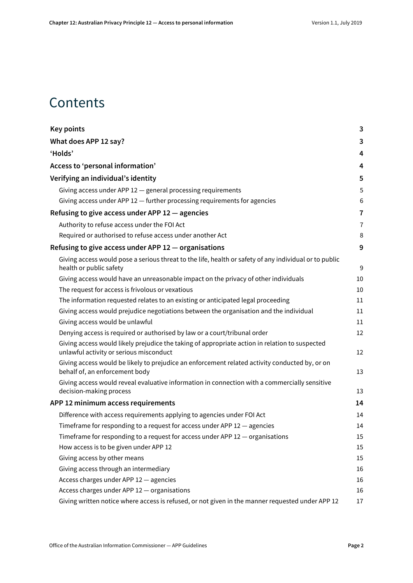# **Contents**

| <b>Key points</b>                                                                                                                         | 3              |
|-------------------------------------------------------------------------------------------------------------------------------------------|----------------|
| What does APP 12 say?                                                                                                                     | 3              |
| 'Holds'                                                                                                                                   | 4              |
| Access to 'personal information'                                                                                                          | 4              |
| Verifying an individual's identity                                                                                                        | 5              |
| Giving access under APP 12 - general processing requirements                                                                              | 5              |
| Giving access under APP 12 - further processing requirements for agencies                                                                 | 6              |
| Refusing to give access under APP $12 -$ agencies                                                                                         | 7              |
| Authority to refuse access under the FOI Act                                                                                              | $\overline{7}$ |
| Required or authorised to refuse access under another Act                                                                                 | 8              |
| Refusing to give access under APP 12 - organisations                                                                                      | 9              |
| Giving access would pose a serious threat to the life, health or safety of any individual or to public<br>health or public safety         | $9\,$          |
| Giving access would have an unreasonable impact on the privacy of other individuals                                                       | 10             |
| The request for access is frivolous or vexatious                                                                                          | 10             |
| The information requested relates to an existing or anticipated legal proceeding                                                          | 11             |
| Giving access would prejudice negotiations between the organisation and the individual                                                    | 11             |
| Giving access would be unlawful                                                                                                           | 11             |
| Denying access is required or authorised by law or a court/tribunal order                                                                 | 12             |
| Giving access would likely prejudice the taking of appropriate action in relation to suspected<br>unlawful activity or serious misconduct | 12             |
| Giving access would be likely to prejudice an enforcement related activity conducted by, or on<br>behalf of, an enforcement body          | 13             |
| Giving access would reveal evaluative information in connection with a commercially sensitive<br>decision-making process                  | 13             |
| APP 12 minimum access requirements                                                                                                        | 14             |
| Difference with access requirements applying to agencies under FOI Act                                                                    | 14             |
| Timeframe for responding to a request for access under APP 12 - agencies                                                                  | 14             |
| Timeframe for responding to a request for access under APP 12 - organisations                                                             | 15             |
| How access is to be given under APP 12                                                                                                    | 15             |
| Giving access by other means                                                                                                              | 15             |
| Giving access through an intermediary                                                                                                     | 16             |
| Access charges under APP 12 - agencies                                                                                                    | 16             |
| Access charges under APP 12 - organisations                                                                                               | 16             |
| Giving written notice where access is refused, or not given in the manner requested under APP 12                                          | 17             |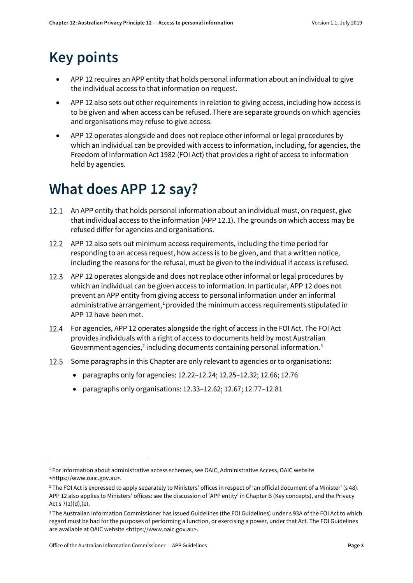# <span id="page-2-0"></span>**Key points**

- APP 12 requires an APP entity that holds personal information about an individual to give the individual access to that information on request.
- APP 12 also sets out other requirements in relation to giving access, including how access is to be given and when access can be refused. There are separate grounds on which agencies and organisations may refuse to give access.
- APP 12 operates alongside and does not replace other informal or legal procedures by which an individual can be provided with access to information, including, for agencies, the Freedom of Information Act 1982 (FOI Act) that provides a right of access to information held by agencies.

# <span id="page-2-1"></span>**What does APP 12 say?**

- 12.1 An APP entity that holds personal information about an individual must, on request, give that individual access to the information (APP 12.1). The grounds on which access may be refused differ for agencies and organisations.
- APP 12 also sets out minimum access requirements, including the time period for responding to an access request, how access is to be given, and that a written notice, including the reasons for the refusal, must be given to the individual if access is refused.
- APP 12 operates alongside and does not replace other informal or legal procedures by which an individual can be given access to information. In particular, APP 12 does not prevent an APP entity from giving access to personal information under an informal administrative arrangement, $1$  provided the minimum access requirements stipulated in APP 12 have been met.
- For agencies, APP 12 operates alongside the right of access in the FOI Act. The FOI Act provides individuals with a right of access to documents held by most Australian Government agencies, $2$  including documents containing personal information.<sup>[3](#page-2-4)</sup>
- 12.5 Some paragraphs in this Chapter are only relevant to agencies or to organisations:
	- paragraphs only for agencies[: 12.22](#page-5-1)[–12.24;](#page-5-2) [12.25–](#page-6-2)[12.32;](#page-7-1) [12.66;](#page-13-3) [12.76](#page-15-3)
	- paragraphs only organisations[: 12.33](#page-8-2)[–12.62;](#page-12-2) [12.67;](#page-14-3) [12.77](#page-15-4)[–12.81](#page-16-1)

<span id="page-2-2"></span> $1$  For information about administrative access schemes, see OAIC, Administrative Access, OAIC website <https://www.oaic.gov.au>.

<span id="page-2-3"></span><sup>&</sup>lt;sup>2</sup> The FOI Act is expressed to apply separately to Ministers' offices in respect of 'an official document of a Minister' (s 48). APP 12 also applies to Ministers' offices: see the discussion of 'APP entity' in Chapter B (Key concepts), and the Privacy Act s  $7(1)(d)$ , (e).

<span id="page-2-4"></span><sup>3</sup> The Australian Information Commissioner has issued Guidelines (the FOI Guidelines) under s 93A of the FOI Act to which regard must be had for the purposes of performing a function, or exercising a power, under that Act. The FOI Guidelines are available at OAIC website <https://www.oaic.gov.au>.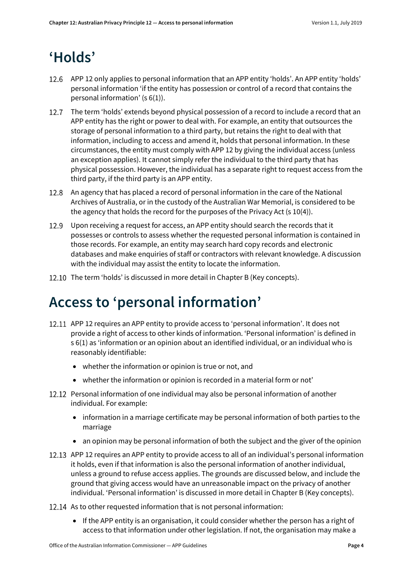# <span id="page-3-0"></span>**'Holds'**

- APP 12 only applies to personal information that an APP entity 'holds'. An APP entity 'holds' personal information 'if the entity has possession or control of a record that contains the personal information' (s 6(1)).
- 12.7 The term 'holds' extends beyond physical possession of a record to include a record that an APP entity has the right or power to deal with. For example, an entity that outsources the storage of personal information to a third party, but retains the right to deal with that information, including to access and amend it, holds that personal information. In these circumstances, the entity must comply with APP 12 by giving the individual access (unless an exception applies). It cannot simply refer the individual to the third party that has physical possession. However, the individual has a separate right to request access from the third party, if the third party is an APP entity.
- An agency that has placed a record of personal information in the care of the National Archives of Australia, or in the custody of the Australian War Memorial, is considered to be the agency that holds the record for the purposes of the Privacy Act (s 10(4)).
- Upon receiving a request for access, an APP entity should search the records that it possesses or controls to assess whether the requested personal information is contained in those records. For example, an entity may search hard copy records and electronic databases and make enquiries of staff or contractors with relevant knowledge. A discussion with the individual may assist the entity to locate the information.
- 12.10 The term 'holds' is discussed in more detail in Chapter B (Key concepts).

# <span id="page-3-1"></span>**Access to 'personal information'**

- 12.11 APP 12 requires an APP entity to provide access to 'personal information'. It does not provide a right of access to other kinds of information. 'Personal information' is defined in s 6(1) as 'information or an opinion about an identified individual, or an individual who is reasonably identifiable:
	- whether the information or opinion is true or not, and
	- whether the information or opinion is recorded in a material form or not'
- <span id="page-3-2"></span>12.12 Personal information of one individual may also be personal information of another individual. For example:
	- information in a marriage certificate may be personal information of both parties to the marriage
	- an opinion may be personal information of both the subject and the giver of the opinion
- 12.13 APP 12 requires an APP entity to provide access to all of an individual's personal information it holds, even if that information is also the personal information of another individual, unless a ground to refuse access applies. The grounds are discussed below, and include the ground that giving access would have an unreasonable impact on the privacy of another individual. 'Personal information' is discussed in more detail in Chapter B (Key concepts).
- 12.14 As to other requested information that is not personal information:
	- If the APP entity is an organisation, it could consider whether the person has a right of access to that information under other legislation. If not, the organisation may make a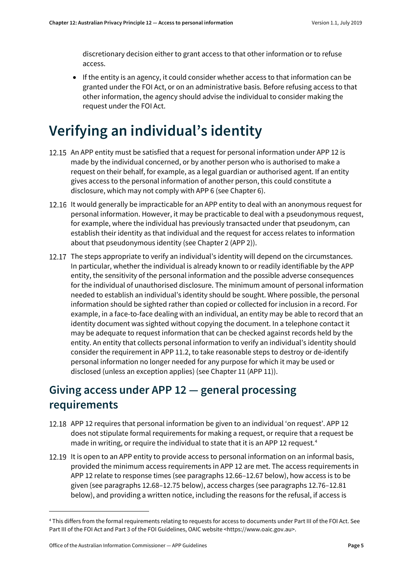discretionary decision either to grant access to that other information or to refuse access.

• If the entity is an agency, it could consider whether access to that information can be granted under the FOI Act, or on an administrative basis. Before refusing access to that other information, the agency should advise the individual to consider making the request under the FOI Act.

# <span id="page-4-0"></span>**Verifying an individual's identity**

- 12.15 An APP entity must be satisfied that a request for personal information under APP 12 is made by the individual concerned, or by another person who is authorised to make a request on their behalf, for example, as a legal guardian or authorised agent. If an entity gives access to the personal information of another person, this could constitute a disclosure, which may not comply with APP 6 (see Chapter 6).
- 12.16 It would generally be impracticable for an APP entity to deal with an anonymous request for personal information. However, it may be practicable to deal with a pseudonymous request, for example, where the individual has previously transacted under that pseudonym, can establish their identity as that individual and the request for access relates to information about that pseudonymous identity (see Chapter 2 (APP 2)).
- 12.17 The steps appropriate to verify an individual's identity will depend on the circumstances. In particular, whether the individual is already known to or readily identifiable by the APP entity, the sensitivity of the personal information and the possible adverse consequences for the individual of unauthorised disclosure. The minimum amount of personal information needed to establish an individual's identity should be sought. Where possible, the personal information should be sighted rather than copied or collected for inclusion in a record. For example, in a face-to-face dealing with an individual, an entity may be able to record that an identity document was sighted without copying the document. In a telephone contact it may be adequate to request information that can be checked against records held by the entity. An entity that collects personal information to verify an individual's identity should consider the requirement in APP 11.2, to take reasonable steps to destroy or de-identify personal information no longer needed for any purpose for which it may be used or disclosed (unless an exception applies) (see Chapter 11 (APP 11)).

#### <span id="page-4-1"></span>**Giving access under APP 12 — general processing requirements**

- 12.18 APP 12 requires that personal information be given to an individual 'on request'. APP 12 does not stipulate formal requirements for making a request, or require that a request be made in writing, or require the individual to state that it is an APP 12 request.<sup>[4](#page-4-2)</sup>
- 12.19 It is open to an APP entity to provide access to personal information on an informal basis, provided the minimum access requirements in APP 12 are met. The access requirements in APP 12 relate to response times (see paragraph[s 12.66](#page-13-3)[–12.67](#page-14-3) below), how access is to be given (see paragraphs [12.68–](#page-14-4)[12.75](#page-15-5) below), access charges (see paragraph[s 12.76–](#page-15-3)[12.81](#page-16-1) below), and providing a written notice, including the reasons for the refusal, if access is

<span id="page-4-2"></span><sup>4</sup> This differs from the formal requirements relating to requests for access to documents under Part III of the FOI Act. See Part III of the FOI Act and Part 3 of the FOI Guidelines, OAIC website <https://www.oaic.gov.au>.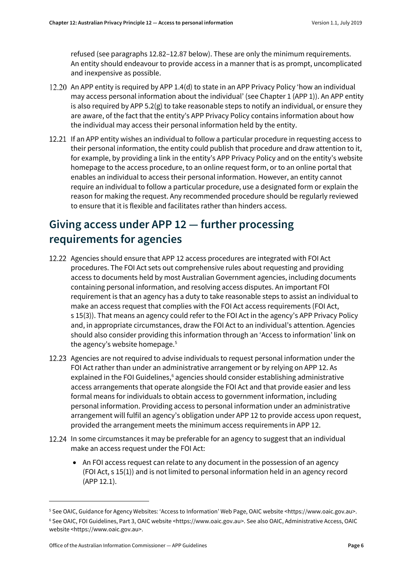refused (see paragraphs [12.82](#page-16-2)[–12.87](#page-17-0) below). These are only the minimum requirements. An entity should endeavour to provide access in a manner that is as prompt, uncomplicated and inexpensive as possible.

- 12.20 An APP entity is required by APP 1.4(d) to state in an APP Privacy Policy 'how an individual may access personal information about the individual' (see Chapter 1 (APP 1)). An APP entity is also required by APP 5.2(g) to take reasonable steps to notify an individual, or ensure they are aware, of the fact that the entity's APP Privacy Policy contains information about how the individual may access their personal information held by the entity.
- 12.21 If an APP entity wishes an individual to follow a particular procedure in requesting access to their personal information, the entity could publish that procedure and draw attention to it, for example, by providing a link in the entity's APP Privacy Policy and on the entity's website homepage to the access procedure, to an online request form, or to an online portal that enables an individual to access their personal information. However, an entity cannot require an individual to follow a particular procedure, use a designated form or explain the reason for making the request. Any recommended procedure should be regularly reviewed to ensure that it is flexible and facilitates rather than hinders access.

### <span id="page-5-0"></span>**Giving access under APP 12 — further processing requirements for agencies**

- <span id="page-5-1"></span>Agencies should ensure that APP 12 access procedures are integrated with FOI Act procedures. The FOI Act sets out comprehensive rules about requesting and providing access to documents held by most Australian Government agencies, including documents containing personal information, and resolving access disputes. An important FOI requirement is that an agency has a duty to take reasonable steps to assist an individual to make an access request that complies with the FOI Act access requirements (FOI Act, s 15(3)). That means an agency could refer to the FOI Act in the agency's APP Privacy Policy and, in appropriate circumstances, draw the FOI Act to an individual's attention. Agencies should also consider providing this information through an 'Access to information' link on the agency's website homepage.<sup>[5](#page-5-3)</sup>
- 12.23 Agencies are not required to advise individuals to request personal information under the FOI Act rather than under an administrative arrangement or by relying on APP 12. As explained in the FOI Guidelines,<sup>6</sup> agencies should consider establishing administrative access arrangements that operate alongside the FOI Act and that provide easier and less formal means for individuals to obtain access to government information, including personal information. Providing access to personal information under an administrative arrangement will fulfil an agency's obligation under APP 12 to provide access upon request, provided the arrangement meets the minimum access requirements in APP 12.
- <span id="page-5-2"></span>12.24 In some circumstances it may be preferable for an agency to suggest that an individual make an access request under the FOI Act:
	- An FOI access request can relate to any document in the possession of an agency (FOI Act, s 15(1)) and is not limited to personal information held in an agency record (APP 12.1).

<span id="page-5-3"></span><sup>5</sup> See OAIC, Guidance for Agency Websites: 'Access to Information' Web Page, OAIC website <https://www.oaic.gov.au>.

<span id="page-5-4"></span><sup>6</sup> See OAIC, FOI Guidelines, Part 3, OAIC website <https://www.oaic.gov.au>. See also OAIC, Administrative Access, OAIC website <https://www.oaic.gov.au>.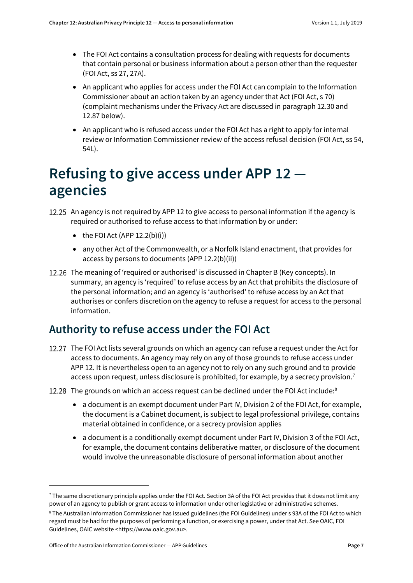- The FOI Act contains a consultation process for dealing with requests for documents that contain personal or business information about a person other than the requester (FOI Act, ss 27, 27A).
- An applicant who applies for access under the FOI Act can complain to the Information Commissioner about an action taken by an agency under that Act (FOI Act, s 70) (complaint mechanisms under the Privacy Act are discussed in paragrap[h 12.30](#page-7-2) and [12.87](#page-17-0) below).
- An applicant who is refused access under the FOI Act has a right to apply for internal review or Information Commissioner review of the access refusal decision (FOI Act, ss 54, 54L).

# <span id="page-6-0"></span>**Refusing to give access under APP 12 agencies**

<span id="page-6-2"></span>12.25 An agency is not required by APP 12 to give access to personal information if the agency is required or authorised to refuse access to that information by or under:

- $\bullet$  the FOI Act (APP 12.2(b)(i))
- any other Act of the Commonwealth, or a Norfolk Island enactment, that provides for access by persons to documents (APP 12.2(b)(ii))
- 12.26 The meaning of 'required or authorised' is discussed in Chapter B (Key concepts). In summary, an agency is 'required' to refuse access by an Act that prohibits the disclosure of the personal information; and an agency is 'authorised' to refuse access by an Act that authorises or confers discretion on the agency to refuse a request for access to the personal information.

#### <span id="page-6-1"></span>**Authority to refuse access under the FOI Act**

- 12.27 The FOI Act lists several grounds on which an agency can refuse a request under the Act for access to documents. An agency may rely on any of those grounds to refuse access under APP 12. It is nevertheless open to an agency not to rely on any such ground and to provide access upon request, unless disclosure is prohibited, for example, by a secrecy provision.<sup>[7](#page-6-3)</sup>
- 12.2[8](#page-6-4) The grounds on which an access request can be declined under the FOI Act include:<sup>8</sup>
	- a document is an exempt document under Part IV, Division 2 of the FOI Act, for example, the document is a Cabinet document, is subject to legal professional privilege, contains material obtained in confidence, or a secrecy provision applies
	- a document is a conditionally exempt document under Part IV, Division 3 of the FOI Act, for example, the document contains deliberative matter, or disclosure of the document would involve the unreasonable disclosure of personal information about another

 $\overline{a}$ 

<span id="page-6-3"></span> $^7$  The same discretionary principle applies under the FOI Act. Section 3A of the FOI Act provides that it does not limit any power of an agency to publish or grant access to information under other legislative or administrative schemes.

<span id="page-6-4"></span><sup>8</sup> The Australian Information Commissioner has issued guidelines (the FOI Guidelines) under s 93A of the FOI Act to which regard must be had for the purposes of performing a function, or exercising a power, under that Act. See OAIC, FOI Guidelines, OAIC website <https://www.oaic.gov.au>.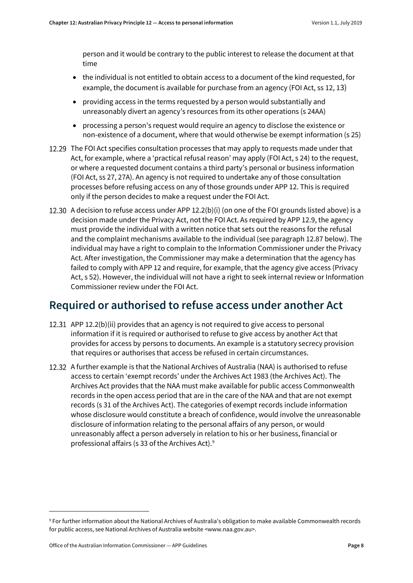person and it would be contrary to the public interest to release the document at that time

- the individual is not entitled to obtain access to a document of the kind requested, for example, the document is available for purchase from an agency (FOI Act, ss 12, 13)
- providing access in the terms requested by a person would substantially and unreasonably divert an agency's resources from its other operations (s 24AA)
- processing a person's request would require an agency to disclose the existence or non-existence of a document, where that would otherwise be exempt information (s 25)
- 12.29 The FOI Act specifies consultation processes that may apply to requests made under that Act, for example, where a 'practical refusal reason' may apply (FOI Act, s 24) to the request, or where a requested document contains a third party's personal or business information (FOI Act, ss 27, 27A). An agency is not required to undertake any of those consultation processes before refusing access on any of those grounds under APP 12. This is required only if the person decides to make a request under the FOI Act.
- <span id="page-7-2"></span>12.30 A decision to refuse access under APP 12.2(b)(i) (on one of the FOI grounds listed above) is a decision made under the Privacy Act, not the FOI Act. As required by APP 12.9, the agency must provide the individual with a written notice that sets out the reasons for the refusal and the complaint mechanisms available to the individual (see paragraph [12.87](#page-17-0) below). The individual may have a right to complain to the Information Commissioner under the Privacy Act. After investigation, the Commissioner may make a determination that the agency has failed to comply with APP 12 and require, for example, that the agency give access (Privacy Act, s 52). However, the individual will not have a right to seek internal review or Information Commissioner review under the FOI Act.

#### <span id="page-7-0"></span>**Required or authorised to refuse access under another Act**

- 12.31 APP 12.2(b)(ii) provides that an agency is not required to give access to personal information if it is required or authorised to refuse to give access by another Act that provides for access by persons to documents. An example is a statutory secrecy provision that requires or authorises that access be refused in certain circumstances.
- <span id="page-7-1"></span>12.32 A further example is that the National Archives of Australia (NAA) is authorised to refuse access to certain 'exempt records' under the Archives Act 1983 (the Archives Act). The Archives Act provides that the NAA must make available for public access Commonwealth records in the open access period that are in the care of the NAA and that are not exempt records (s 31 of the Archives Act). The categories of exempt records include information whose disclosure would constitute a breach of confidence, would involve the unreasonable disclosure of information relating to the personal affairs of any person, or would unreasonably affect a person adversely in relation to his or her business, financial or professional affairs (s 33 of the Archives Act). [9](#page-7-3)

<span id="page-7-3"></span><sup>9</sup> For further information about the National Archives of Australia's obligation to make available Commonwealth records for public access, see National Archives of Australia website <www.naa.gov.au>.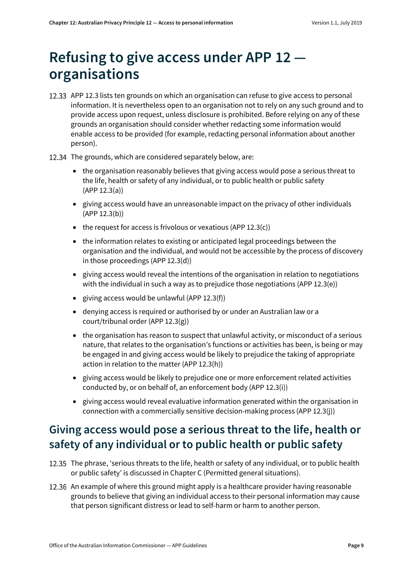# <span id="page-8-0"></span>**Refusing to give access under APP 12 organisations**

- <span id="page-8-2"></span>12.33 APP 12.3 lists ten grounds on which an organisation can refuse to give access to personal information. It is nevertheless open to an organisation not to rely on any such ground and to provide access upon request, unless disclosure is prohibited. Before relying on any of these grounds an organisation should consider whether redacting some information would enable access to be provided (for example, redacting personal information about another person).
- 12.34 The grounds, which are considered separately below, are:
	- the organisation reasonably believes that giving access would pose a serious threat to the life, health or safety of any individual, or to public health or public safety (APP 12.3(a))
	- giving access would have an unreasonable impact on the privacy of other individuals (APP 12.3(b))
	- $\bullet$  the request for access is frivolous or vexatious (APP 12.3(c))
	- the information relates to existing or anticipated legal proceedings between the organisation and the individual, and would not be accessible by the process of discovery in those proceedings (APP 12.3(d))
	- giving access would reveal the intentions of the organisation in relation to negotiations with the individual in such a way as to prejudice those negotiations (APP 12.3(e))
	- giving access would be unlawful (APP 12.3(f))
	- denying access is required or authorised by or under an Australian law or a court/tribunal order (APP 12.3(g))
	- the organisation has reason to suspect that unlawful activity, or misconduct of a serious nature, that relates to the organisation's functions or activities has been, is being or may be engaged in and giving access would be likely to prejudice the taking of appropriate action in relation to the matter (APP 12.3(h))
	- giving access would be likely to prejudice one or more enforcement related activities conducted by, or on behalf of, an enforcement body (APP 12.3(i))
	- giving access would reveal evaluative information generated within the organisation in connection with a commercially sensitive decision-making process (APP 12.3(j))

### <span id="page-8-1"></span>**Giving access would pose a serious threat to the life, health or safety of any individual or to public health or public safety**

- 12.35 The phrase, 'serious threats to the life, health or safety of any individual, or to public health or public safety' is discussed in Chapter C (Permitted general situations).
- 12.36 An example of where this ground might apply is a healthcare provider having reasonable grounds to believe that giving an individual access to their personal information may cause that person significant distress or lead to self-harm or harm to another person.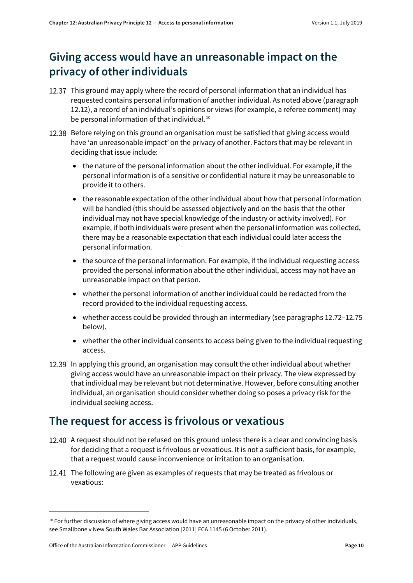### <span id="page-9-0"></span>**Giving access would have an unreasonable impact on the privacy of other individuals**

- 12.37 This ground may apply where the record of personal information that an individual has requested contains personal information of another individual. As noted above (paragraph [12.12\)](#page-3-2), a record of an individual's opinions or views (for example, a referee comment) may be personal information of that individual.<sup>[10](#page-9-2)</sup>
- 12.38 Before relying on this ground an organisation must be satisfied that giving access would have 'an unreasonable impact' on the privacy of another. Factors that may be relevant in deciding that issue include:
	- the nature of the personal information about the other individual. For example, if the personal information is of a sensitive or confidential nature it may be unreasonable to provide it to others.
	- the reasonable expectation of the other individual about how that personal information will be handled (this should be assessed objectively and on the basis that the other individual may not have special knowledge of the industry or activity involved). For example, if both individuals were present when the personal information was collected, there may be a reasonable expectation that each individual could later access the personal information.
	- the source of the personal information. For example, if the individual requesting access provided the personal information about the other individual, access may not have an unreasonable impact on that person.
	- whether the personal information of another individual could be redacted from the record provided to the individual requesting access.
	- whether access could be provided through an intermediary (see paragraph[s 12.72](#page-15-6)[–12.75](#page-15-5) below).
	- whether the other individual consents to access being given to the individual requesting access.
- 12.39 In applying this ground, an organisation may consult the other individual about whether giving access would have an unreasonable impact on their privacy. The view expressed by that individual may be relevant but not determinative. However, before consulting another individual, an organisation should consider whether doing so poses a privacy risk for the individual seeking access.

#### <span id="page-9-1"></span>**The request for access is frivolous or vexatious**

- 12.40 A request should not be refused on this ground unless there is a clear and convincing basis for deciding that a request is frivolous or vexatious. It is not a sufficient basis, for example, that a request would cause inconvenience or irritation to an organisation.
- 12.41 The following are given as examples of requests that may be treated as frivolous or vexatious:

<span id="page-9-2"></span> $10$  For further discussion of where giving access would have an unreasonable impact on the privacy of other individuals, see Smallbone v New South Wales Bar Association [2011] FCA 1145 (6 October 2011).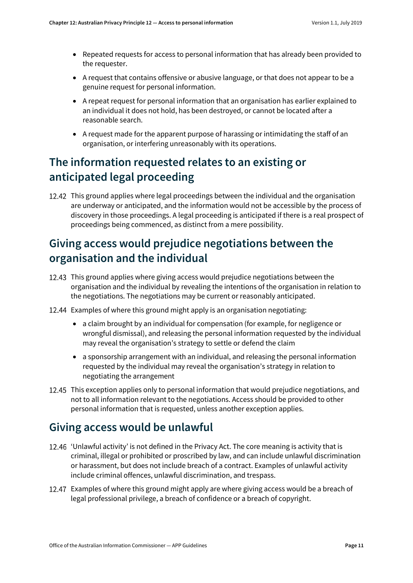- Repeated requests for access to personal information that has already been provided to the requester.
- A request that contains offensive or abusive language, or that does not appear to be a genuine request for personal information.
- A repeat request for personal information that an organisation has earlier explained to an individual it does not hold, has been destroyed, or cannot be located after a reasonable search.
- A request made for the apparent purpose of harassing or intimidating the staff of an organisation, or interfering unreasonably with its operations.

### <span id="page-10-0"></span>**The information requested relates to an existing or anticipated legal proceeding**

12.42 This ground applies where legal proceedings between the individual and the organisation are underway or anticipated, and the information would not be accessible by the process of discovery in those proceedings. A legal proceeding is anticipated if there is a real prospect of proceedings being commenced, as distinct from a mere possibility.

### <span id="page-10-1"></span>**Giving access would prejudice negotiations between the organisation and the individual**

- 12.43 This ground applies where giving access would prejudice negotiations between the organisation and the individual by revealing the intentions of the organisation in relation to the negotiations. The negotiations may be current or reasonably anticipated.
- 12.44 Examples of where this ground might apply is an organisation negotiating:
	- a claim brought by an individual for compensation (for example, for negligence or wrongful dismissal), and releasing the personal information requested by the individual may reveal the organisation's strategy to settle or defend the claim
	- a sponsorship arrangement with an individual, and releasing the personal information requested by the individual may reveal the organisation's strategy in relation to negotiating the arrangement
- 12.45 This exception applies only to personal information that would prejudice negotiations, and not to all information relevant to the negotiations. Access should be provided to other personal information that is requested, unless another exception applies.

#### <span id="page-10-2"></span>**Giving access would be unlawful**

- 'Unlawful activity' is not defined in the Privacy Act. The core meaning is activity that is criminal, illegal or prohibited or proscribed by law, and can include unlawful discrimination or harassment, but does not include breach of a contract. Examples of unlawful activity include criminal offences, unlawful discrimination, and trespass.
- Examples of where this ground might apply are where giving access would be a breach of legal professional privilege, a breach of confidence or a breach of copyright.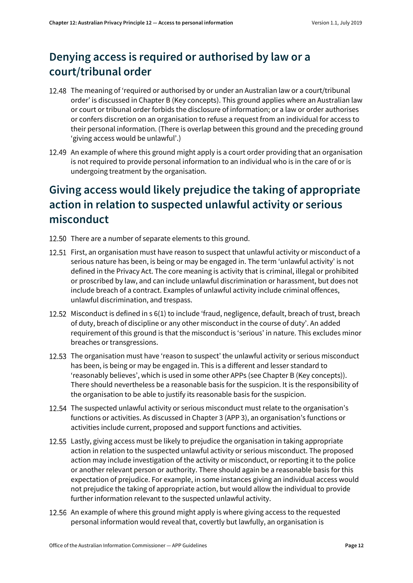## <span id="page-11-0"></span>**Denying access is required or authorised by law or a court/tribunal order**

- 12.48 The meaning of 'required or authorised by or under an Australian law or a court/tribunal order' is discussed in Chapter B (Key concepts). This ground applies where an Australian law or court or tribunal order forbids the disclosure of information; or a law or order authorises or confers discretion on an organisation to refuse a request from an individual for access to their personal information. (There is overlap between this ground and the preceding ground 'giving access would be unlawful'.)
- 12.49 An example of where this ground might apply is a court order providing that an organisation is not required to provide personal information to an individual who is in the care of or is undergoing treatment by the organisation.

### <span id="page-11-1"></span>**Giving access would likely prejudice the taking of appropriate action in relation to suspected unlawful activity or serious misconduct**

- 12.50 There are a number of separate elements to this ground.
- 12.51 First, an organisation must have reason to suspect that unlawful activity or misconduct of a serious nature has been, is being or may be engaged in. The term 'unlawful activity' is not defined in the Privacy Act. The core meaning is activity that is criminal, illegal or prohibited or proscribed by law, and can include unlawful discrimination or harassment, but does not include breach of a contract. Examples of unlawful activity include criminal offences, unlawful discrimination, and trespass.
- 12.52 Misconduct is defined in s 6(1) to include 'fraud, negligence, default, breach of trust, breach of duty, breach of discipline or any other misconduct in the course of duty'. An added requirement of this ground is that the misconduct is 'serious' in nature. This excludes minor breaches or transgressions.
- 12.53 The organisation must have 'reason to suspect' the unlawful activity or serious misconduct has been, is being or may be engaged in. This is a different and lesser standard to 'reasonably believes', which is used in some other APPs (see Chapter B (Key concepts)). There should nevertheless be a reasonable basis for the suspicion. It is the responsibility of the organisation to be able to justify its reasonable basis for the suspicion.
- 12.54 The suspected unlawful activity or serious misconduct must relate to the organisation's functions or activities. As discussed in Chapter 3 (APP 3), an organisation's functions or activities include current, proposed and support functions and activities.
- 12.55 Lastly, giving access must be likely to prejudice the organisation in taking appropriate action in relation to the suspected unlawful activity or serious misconduct. The proposed action may include investigation of the activity or misconduct, or reporting it to the police or another relevant person or authority. There should again be a reasonable basis for this expectation of prejudice. For example, in some instances giving an individual access would not prejudice the taking of appropriate action, but would allow the individual to provide further information relevant to the suspected unlawful activity.
- 12.56 An example of where this ground might apply is where giving access to the requested personal information would reveal that, covertly but lawfully, an organisation is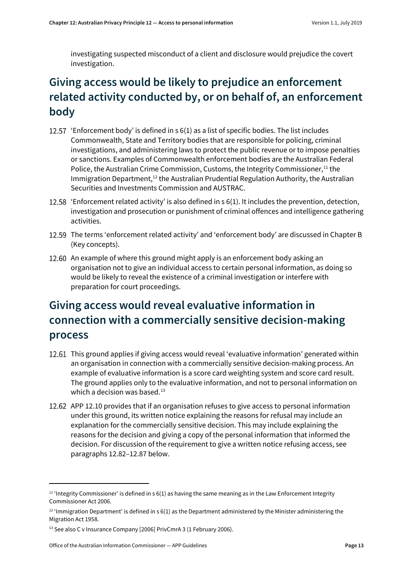investigating suspected misconduct of a client and disclosure would prejudice the covert investigation.

## <span id="page-12-0"></span>**Giving access would be likely to prejudice an enforcement related activity conducted by, or on behalf of, an enforcement body**

- 12.57 'Enforcement body' is defined in s 6(1) as a list of specific bodies. The list includes Commonwealth, State and Territory bodies that are responsible for policing, criminal investigations, and administering laws to protect the public revenue or to impose penalties or sanctions. Examples of Commonwealth enforcement bodies are the Australian Federal Police, the Australian Crime Commission, Customs, th[e Integrity Commissioner,](http://www.austlii.edu.au/au/legis/cth/consol_act/pa1988108/s6.html#integrity_commissioner)<sup>[11](#page-12-3)</sup> the Immigration Department,<sup>12</sup> the Australian Prudential Regulation Authority, the Australian Securities and Investments Commission and AUSTRAC.
- 12.58 'Enforcement related activity' is also defined in  $s(1)$ . It includes the prevention, detection, investigation and prosecution or punishment of criminal offences and intelligence gathering activities.
- 12.59 The terms 'enforcement related activity' and 'enforcement body' are discussed in Chapter B (Key concepts).
- 12.60 An example of where this ground might apply is an enforcement body asking an organisation not to give an individual access to certain personal information, as doing so would be likely to reveal the existence of a criminal investigation or interfere with preparation for court proceedings.

## <span id="page-12-1"></span>**Giving access would reveal evaluative information in connection with a commercially sensitive decision-making process**

- <span id="page-12-6"></span>12.61 This ground applies if giving access would reveal 'evaluative information' generated within an organisation in connection with a commercially sensitive decision-making process. An example of evaluative information is a score card weighting system and score card result. The ground applies only to the evaluative information, and not to personal information on which a decision was based. $13$
- <span id="page-12-2"></span>12.62 APP 12.10 provides that if an organisation refuses to give access to personal information under this ground, its written notice explaining the reasons for refusal may include an explanation for the commercially sensitive decision. This may include explaining the reasons for the decision and giving a copy of the personal information that informed the decision. For discussion of the requirement to give a written notice refusing access, see paragraphs [12.82–](#page-16-2)[12.87](#page-17-0) below.

 $\overline{a}$ 

<span id="page-12-3"></span> $11$  'Integrity Commissioner' is defined in s 6(1) as having the same meaning as in the Law Enforcement Integrity Commissioner Act 2006.

<span id="page-12-4"></span> $12$  'Immigration Department' is defined in s 6(1) as the Department administered by the Minister administering the Migration Act 1958.

<span id="page-12-5"></span><sup>&</sup>lt;sup>13</sup> See also C v Insurance Company [2006] PrivCmrA 3 (1 February 2006).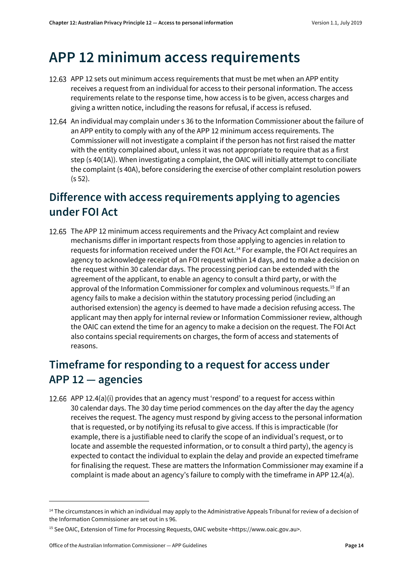# <span id="page-13-0"></span>**APP 12 minimum access requirements**

- 12.63 APP 12 sets out minimum access requirements that must be met when an APP entity receives a request from an individual for access to their personal information. The access requirements relate to the response time, how access is to be given, access charges and giving a written notice, including the reasons for refusal, if access is refused.
- An individual may complain under s 36 to the Information Commissioner about the failure of an APP entity to comply with any of the APP 12 minimum access requirements. The Commissioner will not investigate a complaint if the person has not first raised the matter with the entity complained about, unless it was not appropriate to require that as a first step (s 40(1A)). When investigating a complaint, the OAIC will initially attempt to conciliate the complaint (s 40A), before considering the exercise of other complaint resolution powers (s 52).

#### <span id="page-13-1"></span>**Difference with access requirements applying to agencies under FOI Act**

12.65 The APP 12 minimum access requirements and the Privacy Act complaint and review mechanisms differ in important respects from those applying to agencies in relation to requests for information received under the FOI Act.[14](#page-13-4) For example, the FOI Act requires an agency to acknowledge receipt of an FOI request within 14 days, and to make a decision on the request within 30 calendar days. The processing period can be extended with the agreement of the applicant, to enable an agency to consult a third party, or with the approval of the Information Commissioner for complex and voluminous requests.[15](#page-13-5) If an agency fails to make a decision within the statutory processing period (including an authorised extension) the agency is deemed to have made a decision refusing access. The applicant may then apply for internal review or Information Commissioner review, although the OAIC can extend the time for an agency to make a decision on the request. The FOI Act also contains special requirements on charges, the form of access and statements of reasons.

### <span id="page-13-2"></span>**Timeframe for responding to a request for access under APP 12 — agencies**

<span id="page-13-3"></span>12.66 APP 12.4(a)(i) provides that an agency must 'respond' to a request for access within 30 calendar days. The 30 day time period commences on the day after the day the agency receives the request. The agency must respond by giving access to the personal information that is requested, or by notifying its refusal to give access. If this is impracticable (for example, there is a justifiable need to clarify the scope of an individual's request, or to locate and assemble the requested information, or to consult a third party), the agency is expected to contact the individual to explain the delay and provide an expected timeframe for finalising the request. These are matters the Information Commissioner may examine if a complaint is made about an agency's failure to comply with the timeframe in APP 12.4(a).

<span id="page-13-4"></span><sup>&</sup>lt;sup>14</sup> The circumstances in which an individual may apply to the Administrative Appeals Tribunal for review of a decision of the Information Commissioner are set out in s 96.

<span id="page-13-5"></span><sup>15</sup> See OAIC, Extension of Time for Processing Requests, OAIC website <https://www.oaic.gov.au>.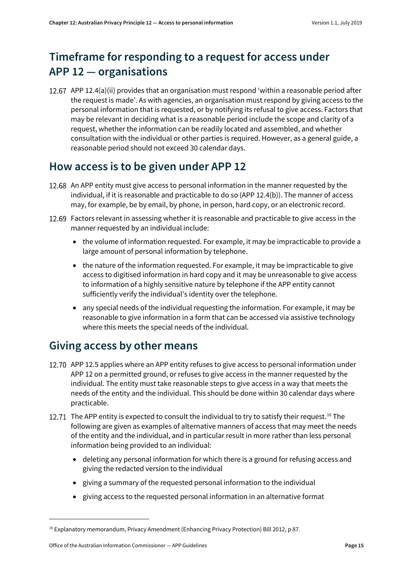# <span id="page-14-0"></span>**Timeframe for responding to a request for access under APP 12 — organisations**

<span id="page-14-3"></span>12.67 APP 12.4(a)(ii) provides that an organisation must respond 'within a reasonable period after the request is made'. As with agencies, an organisation must respond by giving access to the personal information that is requested, or by notifying its refusal to give access. Factors that may be relevant in deciding what is a reasonable period include the scope and clarity of a request, whether the information can be readily located and assembled, and whether consultation with the individual or other parties is required. However, as a general guide, a reasonable period should not exceed 30 calendar days.

#### <span id="page-14-1"></span>**How access is to be given under APP 12**

- <span id="page-14-4"></span>12.68 An APP entity must give access to personal information in the manner requested by the individual, if it is reasonable and practicable to do so (APP 12.4(b)). The manner of access may, for example, be by email, by phone, in person, hard copy, or an electronic record.
- 12.69 Factors relevant in assessing whether it is reasonable and practicable to give access in the manner requested by an individual include:
	- the volume of information requested. For example, it may be impracticable to provide a large amount of personal information by telephone.
	- the nature of the information requested. For example, it may be impracticable to give access to digitised information in hard copy and it may be unreasonable to give access to information of a highly sensitive nature by telephone if the APP entity cannot sufficiently verify the individual's identity over the telephone.
	- any special needs of the individual requesting the information. For example, it may be reasonable to give information in a form that can be accessed via assistive technology where this meets the special needs of the individual.

#### <span id="page-14-2"></span>**Giving access by other means**

- <span id="page-14-6"></span>12.70 APP 12.5 applies where an APP entity refuses to give access to personal information under APP 12 on a permitted ground, or refuses to give access in the manner requested by the individual. The entity must take reasonable steps to give access in a way that meets the needs of the entity and the individual. This should be done within 30 calendar days where practicable.
- <span id="page-14-7"></span>12.71 The APP entity is expected to consult the individual to try to satisfy their request.<sup>[16](#page-14-5)</sup> The following are given as examples of alternative manners of access that may meet the needs of the entity and the individual, and in particular result in more rather than less personal information being provided to an individual:
	- deleting any personal information for which there is a ground for refusing access and giving the redacted version to the individual
	- giving a summary of the requested personal information to the individual
	- giving access to the requested personal information in an alternative format

1

<span id="page-14-5"></span><sup>16</sup> Explanatory memorandum, Privacy Amendment (Enhancing Privacy Protection) Bill 2012, p 87.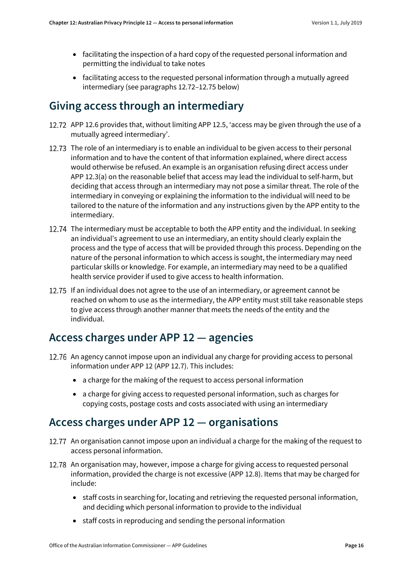- facilitating the inspection of a hard copy of the requested personal information and permitting the individual to take notes
- facilitating access to the requested personal information through a mutually agreed intermediary (see paragraphs [12.72](#page-15-6)[–12.75](#page-15-5) below)

#### <span id="page-15-0"></span>**Giving access through an intermediary**

- <span id="page-15-6"></span>12.72 APP 12.6 provides that, without limiting APP 12.5, 'access may be given through the use of a mutually agreed intermediary'.
- 12.73 The role of an intermediary is to enable an individual to be given access to their personal information and to have the content of that information explained, where direct access would otherwise be refused. An example is an organisation refusing direct access under APP 12.3(a) on the reasonable belief that access may lead the individual to self-harm, but deciding that access through an intermediary may not pose a similar threat. The role of the intermediary in conveying or explaining the information to the individual will need to be tailored to the nature of the information and any instructions given by the APP entity to the intermediary.
- 12.74 The intermediary must be acceptable to both the APP entity and the individual. In seeking an individual's agreement to use an intermediary, an entity should clearly explain the process and the type of access that will be provided through this process. Depending on the nature of the personal information to which access is sought, the intermediary may need particular skills or knowledge. For example, an intermediary may need to be a qualified health service provider if used to give access to health information.
- <span id="page-15-5"></span>12.75 If an individual does not agree to the use of an intermediary, or agreement cannot be reached on whom to use as the intermediary, the APP entity must still take reasonable steps to give access through another manner that meets the needs of the entity and the individual.

#### <span id="page-15-1"></span>**Access charges under APP 12 — agencies**

- <span id="page-15-3"></span>12.76 An agency cannot impose upon an individual any charge for providing access to personal information under APP 12 (APP 12.7). This includes:
	- a charge for the making of the request to access personal information
	- a charge for giving access to requested personal information, such as charges for copying costs, postage costs and costs associated with using an intermediary

#### <span id="page-15-2"></span>**Access charges under APP 12 — organisations**

- <span id="page-15-4"></span>12.77 An organisation cannot impose upon an individual a charge for the making of the request to access personal information.
- 12.78 An organisation may, however, impose a charge for giving access to requested personal information, provided the charge is not excessive (APP 12.8). Items that may be charged for include:
	- staff costs in searching for, locating and retrieving the requested personal information, and deciding which personal information to provide to the individual
	- staff costs in reproducing and sending the personal information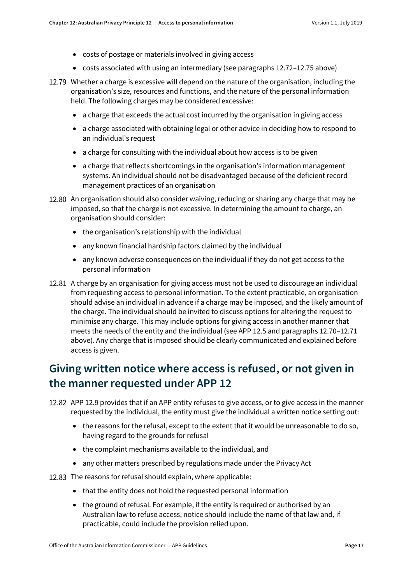- costs of postage or materials involved in giving access
- costs associated with using an intermediary (see paragraph[s 12.72](#page-15-6)[–12.75](#page-15-5) above)
- 12.79 Whether a charge is excessive will depend on the nature of the organisation, including the organisation's size, resources and functions, and the nature of the personal information held. The following charges may be considered excessive:
	- a charge that exceeds the actual cost incurred by the organisation in giving access
	- a charge associated with obtaining legal or other advice in deciding how to respond to an individual's request
	- a charge for consulting with the individual about how access is to be given
	- a charge that reflects shortcomings in the organisation's information management systems. An individual should not be disadvantaged because of the deficient record management practices of an organisation
- 12.80 An organisation should also consider waiving, reducing or sharing any charge that may be imposed, so that the charge is not excessive. In determining the amount to charge, an organisation should consider:
	- the organisation's relationship with the individual
	- any known financial hardship factors claimed by the individual
	- any known adverse consequences on the individual if they do not get access to the personal information
- <span id="page-16-1"></span>12.81 A charge by an organisation for giving access must not be used to discourage an individual from requesting access to personal information. To the extent practicable, an organisation should advise an individual in advance if a charge may be imposed, and the likely amount of the charge. The individual should be invited to discuss options for altering the request to minimise any charge. This may include options for giving access in another manner that meets the needs of the entity and the individual (see APP 12.5 and paragraph[s 12.70](#page-14-6)[–12.71](#page-14-7) above). Any charge that is imposed should be clearly communicated and explained before access is given.

#### <span id="page-16-0"></span>**Giving written notice where access is refused, or not given in the manner requested under APP 12**

- <span id="page-16-2"></span>12.82 APP 12.9 provides that if an APP entity refuses to give access, or to give access in the manner requested by the individual, the entity must give the individual a written notice setting out:
	- the reasons for the refusal, except to the extent that it would be unreasonable to do so, having regard to the grounds for refusal
	- the complaint mechanisms available to the individual, and
	- any other matters prescribed by regulations made under the Privacy Act
- 12.83 The reasons for refusal should explain, where applicable:
	- that the entity does not hold the requested personal information
	- the ground of refusal. For example, if the entity is required or authorised by an Australian law to refuse access, notice should include the name of that law and, if practicable, could include the provision relied upon.